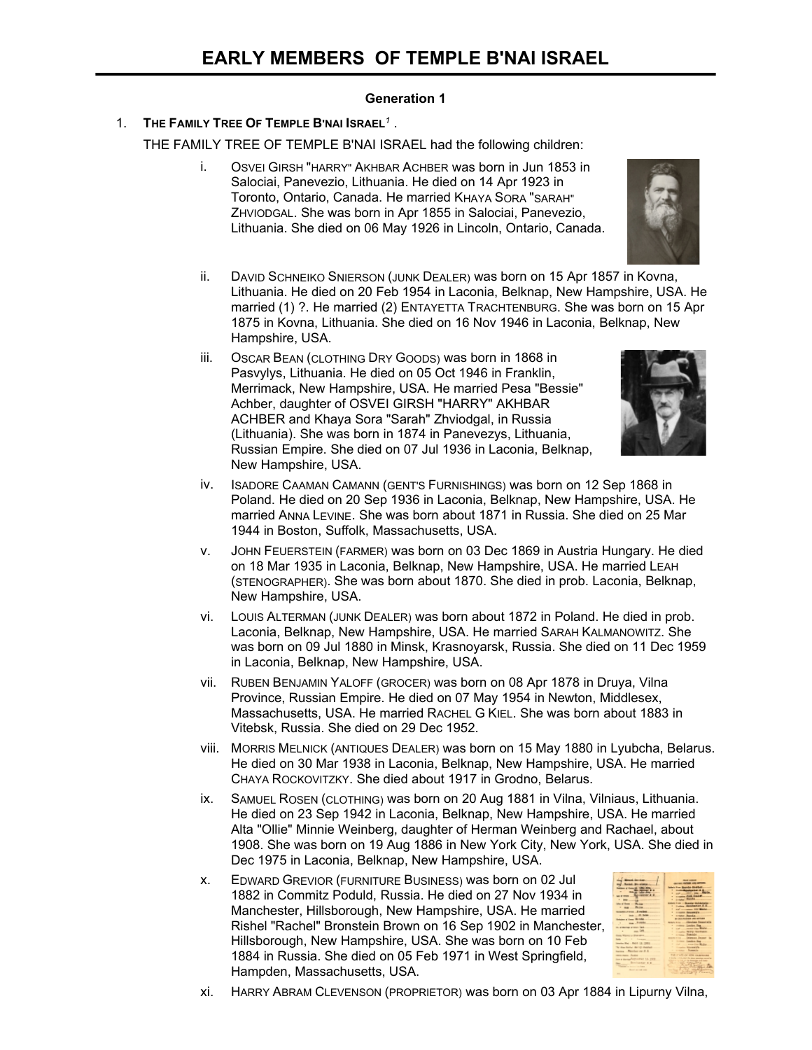## **Generation 1**

## 1. **THE FAMILY TREE OF TEMPLE B'NAI ISRAEL***<sup>1</sup>* .

THE FAMILY TREE OF TEMPLE B'NAI ISRAEL had the following children:

- i. OSVEI GIRSH "HARRY" AKHBAR ACHBER was born in Jun 1853 in Salociai, Panevezio, Lithuania. He died on 14 Apr 1923 in Toronto, Ontario, Canada. He married KHAYA SORA "SARAH" ZHVIODGAL. She was born in Apr 1855 in Salociai, Panevezio, Lithuania. She died on 06 May 1926 in Lincoln, Ontario, Canada.
- ii. DAVID SCHNEIKO SNIERSON (JUNK DEALER) was born on 15 Apr 1857 in Kovna, Lithuania. He died on 20 Feb 1954 in Laconia, Belknap, New Hampshire, USA. He married (1) ?. He married (2) ENTAYETTA TRACHTENBURG. She was born on 15 Apr 1875 in Kovna, Lithuania. She died on 16 Nov 1946 in Laconia, Belknap, New Hampshire, USA.
- iii. OSCAR BEAN (CLOTHING DRY GOODS) was born in 1868 in Pasvylys, Lithuania. He died on 05 Oct 1946 in Franklin, Merrimack, New Hampshire, USA. He married Pesa "Bessie" Achber, daughter of OSVEI GIRSH "HARRY" AKHBAR ACHBER and Khaya Sora "Sarah" Zhviodgal, in Russia (Lithuania). She was born in 1874 in Panevezys, Lithuania, Russian Empire. She died on 07 Jul 1936 in Laconia, Belknap, New Hampshire, USA.



- iv. ISADORE CAAMAN CAMANN (GENT'S FURNISHINGS) was born on 12 Sep 1868 in Poland. He died on 20 Sep 1936 in Laconia, Belknap, New Hampshire, USA. He married ANNA LEVINE. She was born about 1871 in Russia. She died on 25 Mar 1944 in Boston, Suffolk, Massachusetts, USA.
- v. JOHN FEUERSTEIN (FARMER) was born on 03 Dec 1869 in Austria Hungary. He died on 18 Mar 1935 in Laconia, Belknap, New Hampshire, USA. He married LEAH (STENOGRAPHER). She was born about 1870. She died in prob. Laconia, Belknap, New Hampshire, USA.
- vi. LOUIS ALTERMAN (JUNK DEALER) was born about 1872 in Poland. He died in prob. Laconia, Belknap, New Hampshire, USA. He married SARAH KALMANOWITZ. She was born on 09 Jul 1880 in Minsk, Krasnoyarsk, Russia. She died on 11 Dec 1959 in Laconia, Belknap, New Hampshire, USA.
- vii. RUBEN BENJAMIN YALOFF (GROCER) was born on 08 Apr 1878 in Druya, Vilna Province, Russian Empire. He died on 07 May 1954 in Newton, Middlesex, Massachusetts, USA. He married RACHEL G KIEL. She was born about 1883 in Vitebsk, Russia. She died on 29 Dec 1952.
- viii. MORRIS MELNICK (ANTIQUES DEALER) was born on 15 May 1880 in Lyubcha, Belarus. He died on 30 Mar 1938 in Laconia, Belknap, New Hampshire, USA. He married CHAYA ROCKOVITZKY. She died about 1917 in Grodno, Belarus.
- ix. SAMUEL ROSEN (CLOTHING) was born on 20 Aug 1881 in Vilna, Vilniaus, Lithuania. He died on 23 Sep 1942 in Laconia, Belknap, New Hampshire, USA. He married Alta "Ollie" Minnie Weinberg, daughter of Herman Weinberg and Rachael, about 1908. She was born on 19 Aug 1886 in New York City, New York, USA. She died in Dec 1975 in Laconia, Belknap, New Hampshire, USA.
- x. EDWARD GREVIOR (FURNITURE BUSINESS) was born on 02 Jul 1882 in Commitz Poduld, Russia. He died on 27 Nov 1934 in Manchester, Hillsborough, New Hampshire, USA. He married Rishel "Rachel" Bronstein Brown on 16 Sep 1902 in Manchester, Hillsborough, New Hampshire, USA. She was born on 10 Feb 1884 in Russia. She died on 05 Feb 1971 in West Springfield, Hampden, Massachusetts, USA.



xi. HARRY ABRAM CLEVENSON (PROPRIETOR) was born on 03 Apr 1884 in Lipurny Vilna,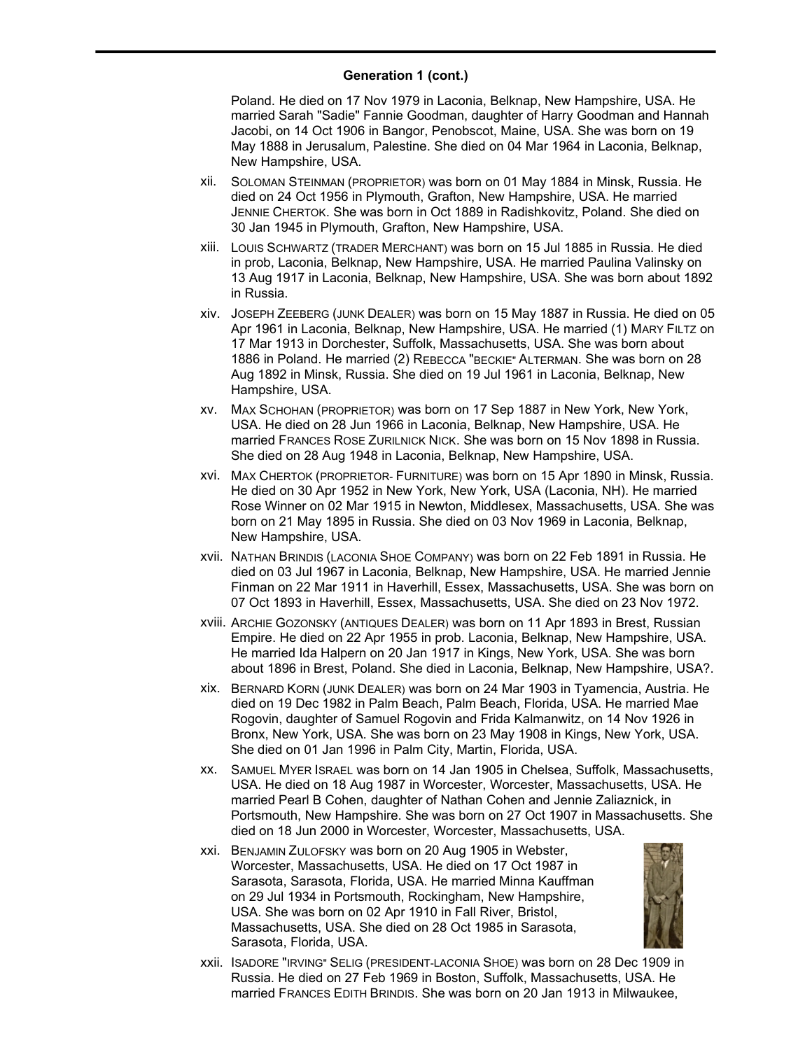## **Generation 1 (cont.)**

Poland. He died on 17 Nov 1979 in Laconia, Belknap, New Hampshire, USA. He married Sarah "Sadie" Fannie Goodman, daughter of Harry Goodman and Hannah Jacobi, on 14 Oct 1906 in Bangor, Penobscot, Maine, USA. She was born on 19 May 1888 in Jerusalum, Palestine. She died on 04 Mar 1964 in Laconia, Belknap, New Hampshire, USA.

- xii. SOLOMAN STEINMAN (PROPRIETOR) was born on 01 May 1884 in Minsk, Russia. He died on 24 Oct 1956 in Plymouth, Grafton, New Hampshire, USA. He married JENNIE CHERTOK. She was born in Oct 1889 in Radishkovitz, Poland. She died on 30 Jan 1945 in Plymouth, Grafton, New Hampshire, USA.
- xiii. LOUIS SCHWARTZ (TRADER MERCHANT) was born on 15 Jul 1885 in Russia. He died in prob, Laconia, Belknap, New Hampshire, USA. He married Paulina Valinsky on 13 Aug 1917 in Laconia, Belknap, New Hampshire, USA. She was born about 1892 in Russia.
- xiv. JOSEPH ZEEBERG (JUNK DEALER) was born on 15 May 1887 in Russia. He died on 05 Apr 1961 in Laconia, Belknap, New Hampshire, USA. He married (1) MARY FILTZ on 17 Mar 1913 in Dorchester, Suffolk, Massachusetts, USA. She was born about 1886 in Poland. He married (2) REBECCA "BECKIE" ALTERMAN. She was born on 28 Aug 1892 in Minsk, Russia. She died on 19 Jul 1961 in Laconia, Belknap, New Hampshire, USA.
- xv. MAX SCHOHAN (PROPRIETOR) was born on 17 Sep 1887 in New York, New York, USA. He died on 28 Jun 1966 in Laconia, Belknap, New Hampshire, USA. He married FRANCES ROSE ZURILNICK NICK. She was born on 15 Nov 1898 in Russia. She died on 28 Aug 1948 in Laconia, Belknap, New Hampshire, USA.
- xvi. MAX CHERTOK (PROPRIETOR- FURNITURE) was born on 15 Apr 1890 in Minsk, Russia. He died on 30 Apr 1952 in New York, New York, USA (Laconia, NH). He married Rose Winner on 02 Mar 1915 in Newton, Middlesex, Massachusetts, USA. She was born on 21 May 1895 in Russia. She died on 03 Nov 1969 in Laconia, Belknap, New Hampshire, USA.
- xvii. NATHAN BRINDIS (LACONIA SHOE COMPANY) was born on 22 Feb 1891 in Russia. He died on 03 Jul 1967 in Laconia, Belknap, New Hampshire, USA. He married Jennie Finman on 22 Mar 1911 in Haverhill, Essex, Massachusetts, USA. She was born on 07 Oct 1893 in Haverhill, Essex, Massachusetts, USA. She died on 23 Nov 1972.
- xviii. ARCHIE GOZONSKY (ANTIQUES DEALER) was born on 11 Apr 1893 in Brest, Russian Empire. He died on 22 Apr 1955 in prob. Laconia, Belknap, New Hampshire, USA. He married Ida Halpern on 20 Jan 1917 in Kings, New York, USA. She was born about 1896 in Brest, Poland. She died in Laconia, Belknap, New Hampshire, USA?.
- xix. BERNARD KORN (JUNK DEALER) was born on 24 Mar 1903 in Tyamencia, Austria. He died on 19 Dec 1982 in Palm Beach, Palm Beach, Florida, USA. He married Mae Rogovin, daughter of Samuel Rogovin and Frida Kalmanwitz, on 14 Nov 1926 in Bronx, New York, USA. She was born on 23 May 1908 in Kings, New York, USA. She died on 01 Jan 1996 in Palm City, Martin, Florida, USA.
- xx. SAMUEL MYER ISRAEL was born on 14 Jan 1905 in Chelsea, Suffolk, Massachusetts, USA. He died on 18 Aug 1987 in Worcester, Worcester, Massachusetts, USA. He married Pearl B Cohen, daughter of Nathan Cohen and Jennie Zaliaznick, in Portsmouth, New Hampshire. She was born on 27 Oct 1907 in Massachusetts. She died on 18 Jun 2000 in Worcester, Worcester, Massachusetts, USA.
- xxi. BENJAMIN ZULOFSKY was born on 20 Aug 1905 in Webster, Worcester, Massachusetts, USA. He died on 17 Oct 1987 in Sarasota, Sarasota, Florida, USA. He married Minna Kauffman on 29 Jul 1934 in Portsmouth, Rockingham, New Hampshire, USA. She was born on 02 Apr 1910 in Fall River, Bristol, Massachusetts, USA. She died on 28 Oct 1985 in Sarasota, Sarasota, Florida, USA.



xxii. ISADORE "IRVING" SELIG (PRESIDENT-LACONIA SHOE) was born on 28 Dec 1909 in Russia. He died on 27 Feb 1969 in Boston, Suffolk, Massachusetts, USA. He married FRANCES EDITH BRINDIS. She was born on 20 Jan 1913 in Milwaukee,